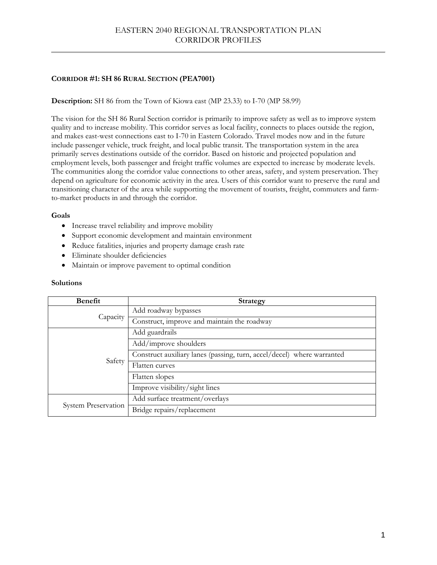# EASTERN 2040 REGIONAL TRANSPORTATION PLAN CORRIDOR PROFILES

# **CORRIDOR #1: SH 86 RURAL SECTION (PEA7001)**

## **Description:** SH 86 from the Town of Kiowa east (MP 23.33) to I-70 (MP 58.99)

The vision for the SH 86 Rural Section corridor is primarily to improve safety as well as to improve system quality and to increase mobility. This corridor serves as local facility, connects to places outside the region, and makes east-west connections east to I-70 in Eastern Colorado. Travel modes now and in the future include passenger vehicle, truck freight, and local public transit. The transportation system in the area primarily serves destinations outside of the corridor. Based on historic and projected population and employment levels, both passenger and freight traffic volumes are expected to increase by moderate levels. The communities along the corridor value connections to other areas, safety, and system preservation. They depend on agriculture for economic activity in the area. Users of this corridor want to preserve the rural and transitioning character of the area while supporting the movement of tourists, freight, commuters and farmto-market products in and through the corridor.

## **Goals**

- Increase travel reliability and improve mobility
- Support economic development and maintain environment
- Reduce fatalities, injuries and property damage crash rate
- Eliminate shoulder deficiencies
- Maintain or improve pavement to optimal condition

| <b>Benefit</b>             | <b>Strategy</b>                                                        |
|----------------------------|------------------------------------------------------------------------|
| Capacity                   | Add roadway bypasses                                                   |
|                            | Construct, improve and maintain the roadway                            |
| Safety                     | Add guardrails                                                         |
|                            | Add/improve shoulders                                                  |
|                            | Construct auxiliary lanes (passing, turn, accel/decel) where warranted |
|                            | Flatten curves                                                         |
|                            | Flatten slopes                                                         |
|                            | Improve visibility/sight lines                                         |
| <b>System Preservation</b> | Add surface treatment/overlays                                         |
|                            | Bridge repairs/replacement                                             |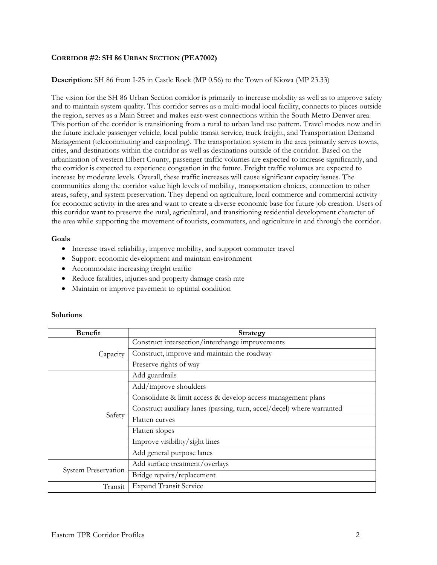## **CORRIDOR #2: SH 86 URBAN SECTION (PEA7002)**

## **Description:** SH 86 from I-25 in Castle Rock (MP 0.56) to the Town of Kiowa (MP 23.33)

The vision for the SH 86 Urban Section corridor is primarily to increase mobility as well as to improve safety and to maintain system quality. This corridor serves as a multi-modal local facility, connects to places outside the region, serves as a Main Street and makes east-west connections within the South Metro Denver area. This portion of the corridor is transitioning from a rural to urban land use pattern. Travel modes now and in the future include passenger vehicle, local public transit service, truck freight, and Transportation Demand Management (telecommuting and carpooling). The transportation system in the area primarily serves towns, cities, and destinations within the corridor as well as destinations outside of the corridor. Based on the urbanization of western Elbert County, passenger traffic volumes are expected to increase significantly, and the corridor is expected to experience congestion in the future. Freight traffic volumes are expected to increase by moderate levels. Overall, these traffic increases will cause significant capacity issues. The communities along the corridor value high levels of mobility, transportation choices, connection to other areas, safety, and system preservation. They depend on agriculture, local commerce and commercial activity for economic activity in the area and want to create a diverse economic base for future job creation. Users of this corridor want to preserve the rural, agricultural, and transitioning residential development character of the area while supporting the movement of tourists, commuters, and agriculture in and through the corridor.

### **Goals**

- Increase travel reliability, improve mobility, and support commuter travel
- Support economic development and maintain environment
- Accommodate increasing freight traffic
- Reduce fatalities, injuries and property damage crash rate
- Maintain or improve pavement to optimal condition

| <b>Benefit</b>             | <b>Strategy</b>                                                        |
|----------------------------|------------------------------------------------------------------------|
| Capacity                   | Construct intersection/interchange improvements                        |
|                            | Construct, improve and maintain the roadway                            |
|                            | Preserve rights of way                                                 |
|                            | Add guardrails                                                         |
|                            | Add/improve shoulders                                                  |
| Safety                     | Consolidate & limit access & develop access management plans           |
|                            | Construct auxiliary lanes (passing, turn, accel/decel) where warranted |
|                            | Flatten curves                                                         |
|                            | Flatten slopes                                                         |
|                            | Improve visibility/sight lines                                         |
|                            | Add general purpose lanes                                              |
| <b>System Preservation</b> | Add surface treatment/overlays                                         |
|                            | Bridge repairs/replacement                                             |
| Transit                    | <b>Expand Transit Service</b>                                          |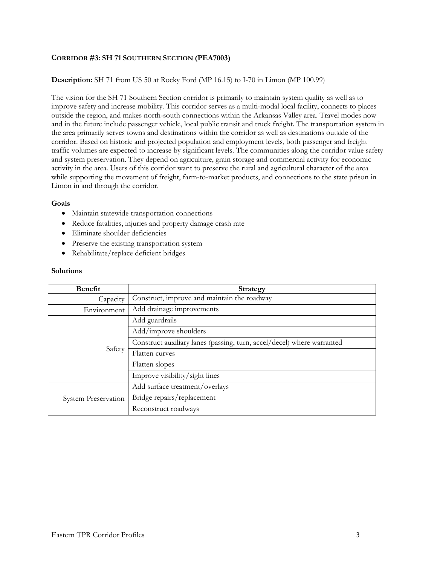## **CORRIDOR #3: SH 71 SOUTHERN SECTION (PEA7003)**

## **Description:** SH 71 from US 50 at Rocky Ford (MP 16.15) to I-70 in Limon (MP 100.99)

The vision for the SH 71 Southern Section corridor is primarily to maintain system quality as well as to improve safety and increase mobility. This corridor serves as a multi-modal local facility, connects to places outside the region, and makes north-south connections within the Arkansas Valley area. Travel modes now and in the future include passenger vehicle, local public transit and truck freight. The transportation system in the area primarily serves towns and destinations within the corridor as well as destinations outside of the corridor. Based on historic and projected population and employment levels, both passenger and freight traffic volumes are expected to increase by significant levels. The communities along the corridor value safety and system preservation. They depend on agriculture, grain storage and commercial activity for economic activity in the area. Users of this corridor want to preserve the rural and agricultural character of the area while supporting the movement of freight, farm-to-market products, and connections to the state prison in Limon in and through the corridor.

#### **Goals**

- Maintain statewide transportation connections
- Reduce fatalities, injuries and property damage crash rate
- Eliminate shoulder deficiencies
- Preserve the existing transportation system
- Rehabilitate/replace deficient bridges

| <b>Benefit</b>             | <b>Strategy</b>                                                        |
|----------------------------|------------------------------------------------------------------------|
| Capacity                   | Construct, improve and maintain the roadway                            |
| Environment                | Add drainage improvements                                              |
| Safety                     | Add guardrails                                                         |
|                            | Add/improve shoulders                                                  |
|                            | Construct auxiliary lanes (passing, turn, accel/decel) where warranted |
|                            | Flatten curves                                                         |
|                            | Flatten slopes                                                         |
|                            | Improve visibility/sight lines                                         |
| <b>System Preservation</b> | Add surface treatment/overlays                                         |
|                            | Bridge repairs/replacement                                             |
|                            | Reconstruct roadways                                                   |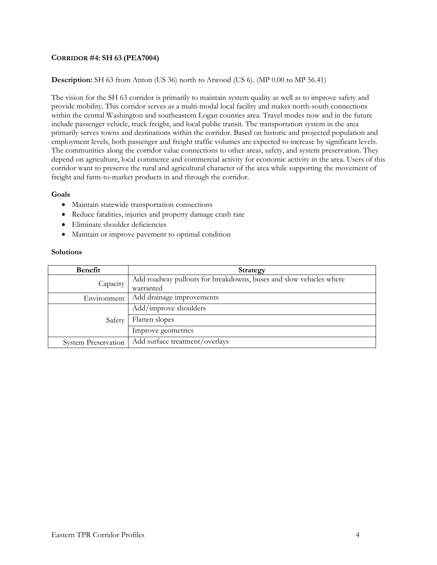## **CORRIDOR #4: SH 63 (PEA7004)**

## **Description:** SH 63 from Anton (US 36) north to Atwood (US 6). (MP 0.00 to MP 56.41)

The vision for the SH 63 corridor is primarily to maintain system quality as well as to improve safety and provide mobility. This corridor serves as a multi-modal local facility and makes north-south connections within the central Washington and southeastern Logan counties area. Travel modes now and in the future include passenger vehicle, truck freight, and local public transit. The transportation system in the area primarily serves towns and destinations within the corridor. Based on historic and projected population and employment levels, both passenger and freight traffic volumes are expected to increase by significant levels. The communities along the corridor value connections to other areas, safety, and system preservation. They depend on agriculture, local commerce and commercial activity for economic activity in the area. Users of this corridor want to preserve the rural and agricultural character of the area while supporting the movement of freight and farm-to-market products in and through the corridor.

#### **Goals**

- Maintain statewide transportation connections
- Reduce fatalities, injuries and property damage crash rate
- Eliminate shoulder deficiencies
- Maintain or improve pavement to optimal condition

| <b>Benefit</b>             | <b>Strategy</b>                                                    |
|----------------------------|--------------------------------------------------------------------|
| Capacity                   | Add roadway pullouts for breakdowns, buses and slow vehicles where |
|                            | warranted                                                          |
| Environment                | Add drainage improvements                                          |
| Safety                     | Add/improve shoulders                                              |
|                            | Flatten slopes                                                     |
|                            | Improve geometrics                                                 |
| <b>System Preservation</b> | Add surface treatment/overlays                                     |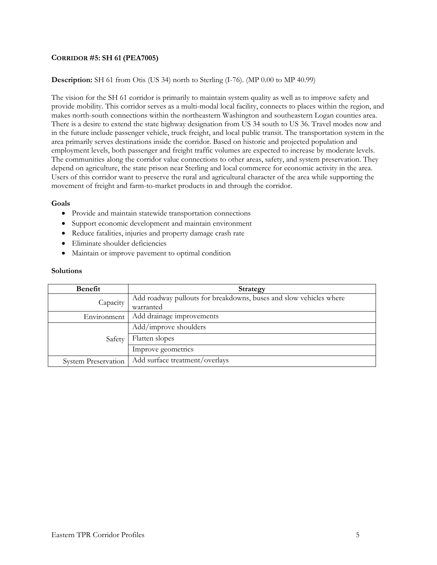## **CORRIDOR #5: SH 61 (PEA7005)**

## **Description:** SH 61 from Otis (US 34) north to Sterling (I-76). (MP 0.00 to MP 40.99)

The vision for the SH 61 corridor is primarily to maintain system quality as well as to improve safety and provide mobility. This corridor serves as a multi-modal local facility, connects to places within the region, and makes north-south connections within the northeastern Washington and southeastern Logan counties area. There is a desire to extend the state highway designation from US 34 south to US 36. Travel modes now and in the future include passenger vehicle, truck freight, and local public transit. The transportation system in the area primarily serves destinations inside the corridor. Based on historic and projected population and employment levels, both passenger and freight traffic volumes are expected to increase by moderate levels. The communities along the corridor value connections to other areas, safety, and system preservation. They depend on agriculture, the state prison near Sterling and local commerce for economic activity in the area. Users of this corridor want to preserve the rural and agricultural character of the area while supporting the movement of freight and farm-to-market products in and through the corridor.

#### **Goals**

- Provide and maintain statewide transportation connections
- Support economic development and maintain environment
- Reduce fatalities, injuries and property damage crash rate
- Eliminate shoulder deficiencies
- Maintain or improve pavement to optimal condition

| <b>Benefit</b>             | <b>Strategy</b>                                                    |
|----------------------------|--------------------------------------------------------------------|
| Capacity                   | Add roadway pullouts for breakdowns, buses and slow vehicles where |
|                            | warranted                                                          |
| Environment                | Add drainage improvements                                          |
| Safety                     | Add/improve shoulders                                              |
|                            | Flatten slopes                                                     |
|                            | Improve geometrics                                                 |
| <b>System Preservation</b> | Add surface treatment/overlays                                     |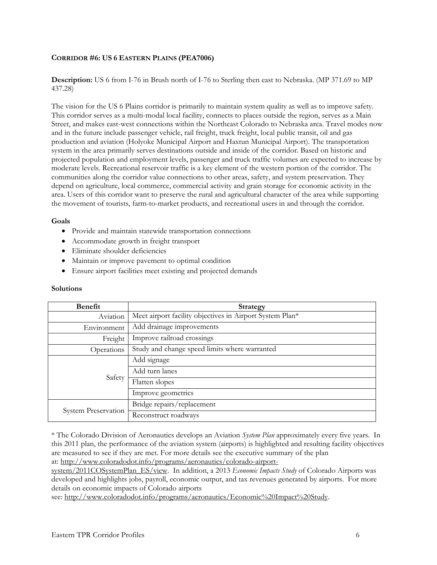## **CORRIDOR #6: US 6 EASTERN PLAINS (PEA7006)**

**Description:** US 6 from I-76 in Brush north of I-76 to Sterling then east to Nebraska. (MP 371.69 to MP 437.28)

The vision for the US 6 Plains corridor is primarily to maintain system quality as well as to improve safety. This corridor serves as a multi-modal local facility, connects to places outside the region, serves as a Main Street, and makes east-west connections within the Northeast Colorado to Nebraska area. Travel modes now and in the future include passenger vehicle, rail freight, truck freight, local public transit, oil and gas production and aviation (Holyoke Municipal Airport and Haxtun Municipal Airport). The transportation system in the area primarily serves destinations outside and inside of the corridor. Based on historic and projected population and employment levels, passenger and truck traffic volumes are expected to increase by moderate levels. Recreational reservoir traffic is a key element of the western portion of the corridor. The communities along the corridor value connections to other areas, safety, and system preservation. They depend on agriculture, local commerce, commercial activity and grain storage for economic activity in the area. Users of this corridor want to preserve the rural and agricultural character of the area while supporting the movement of tourists, farm-to-market products, and recreational users in and through the corridor.

#### **Goals**

- Provide and maintain statewide transportation connections
- Accommodate growth in freight transport
- Eliminate shoulder deficiencies
- Maintain or improve pavement to optimal condition
- Ensure airport facilities meet existing and projected demands

#### **Solutions**

| <b>Benefit</b>             | <b>Strategy</b>                                          |
|----------------------------|----------------------------------------------------------|
| Aviation                   | Meet airport facility objectives in Airport System Plan* |
| Environment                | Add drainage improvements                                |
| Freight                    | Improve railroad crossings                               |
| Operations                 | Study and change speed limits where warranted            |
| Safety                     | Add signage                                              |
|                            | Add turn lanes                                           |
|                            | Flatten slopes                                           |
|                            | Improve geometrics                                       |
| <b>System Preservation</b> | Bridge repairs/replacement                               |
|                            | Reconstruct roadways                                     |

\* The Colorado Division of Aeronautics develops an Aviation *System Plan* approximately every five years. In this 2011 plan, the performance of the aviation system (airports) is highlighted and resulting facility objectives are measured to see if they are met. For more details see the executive summary of the plan at: http://www.coloradodot.info/programs/aeronautics/colorado-airport-

system/2011COSystemPlan\_ES/view. In addition, a 2013 *Economic Impacts Study* of Colorado Airports was developed and highlights jobs, payroll, economic output, and tax revenues generated by airports. For more details on economic impacts of Colorado airports

see: http://www.coloradodot.info/programs/aeronautics/Economic%20Impact%20Study.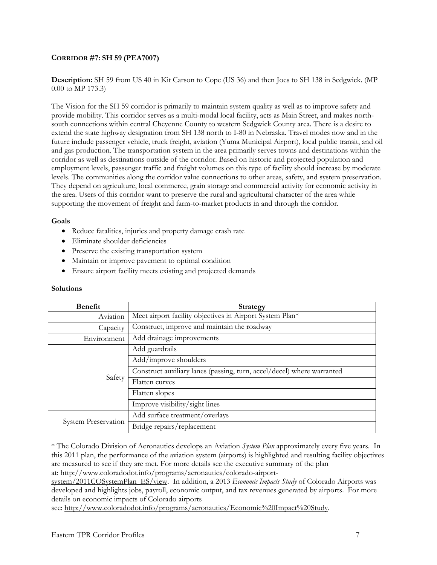## **CORRIDOR #7: SH 59 (PEA7007)**

**Description:** SH 59 from US 40 in Kit Carson to Cope (US 36) and then Joes to SH 138 in Sedgwick. (MP 0.00 to MP 173.3)

The Vision for the SH 59 corridor is primarily to maintain system quality as well as to improve safety and provide mobility. This corridor serves as a multi-modal local facility, acts as Main Street, and makes northsouth connections within central Cheyenne County to western Sedgwick County area. There is a desire to extend the state highway designation from SH 138 north to I-80 in Nebraska. Travel modes now and in the future include passenger vehicle, truck freight, aviation (Yuma Municipal Airport), local public transit, and oil and gas production. The transportation system in the area primarily serves towns and destinations within the corridor as well as destinations outside of the corridor. Based on historic and projected population and employment levels, passenger traffic and freight volumes on this type of facility should increase by moderate levels. The communities along the corridor value connections to other areas, safety, and system preservation. They depend on agriculture, local commerce, grain storage and commercial activity for economic activity in the area. Users of this corridor want to preserve the rural and agricultural character of the area while supporting the movement of freight and farm-to-market products in and through the corridor.

### **Goals**

- Reduce fatalities, injuries and property damage crash rate
- Eliminate shoulder deficiencies
- Preserve the existing transportation system
- Maintain or improve pavement to optimal condition
- Ensure airport facility meets existing and projected demands

#### **Solutions**

| <b>Benefit</b>             | <b>Strategy</b>                                                        |
|----------------------------|------------------------------------------------------------------------|
| Aviation                   | Meet airport facility objectives in Airport System Plan*               |
| Capacity                   | Construct, improve and maintain the roadway                            |
| Environment                | Add drainage improvements                                              |
| Safety                     | Add guardrails                                                         |
|                            | Add/improve shoulders                                                  |
|                            | Construct auxiliary lanes (passing, turn, accel/decel) where warranted |
|                            | Flatten curves                                                         |
|                            | Flatten slopes                                                         |
|                            | Improve visibility/sight lines                                         |
| <b>System Preservation</b> | Add surface treatment/overlays                                         |
|                            | Bridge repairs/replacement                                             |

\* The Colorado Division of Aeronautics develops an Aviation *System Plan* approximately every five years. In this 2011 plan, the performance of the aviation system (airports) is highlighted and resulting facility objectives are measured to see if they are met. For more details see the executive summary of the plan at: http://www.coloradodot.info/programs/aeronautics/colorado-airport-

system/2011COSystemPlan\_ES/view. In addition, a 2013 *Economic Impacts Study* of Colorado Airports was developed and highlights jobs, payroll, economic output, and tax revenues generated by airports. For more details on economic impacts of Colorado airports

see: http://www.coloradodot.info/programs/aeronautics/Economic%20Impact%20Study.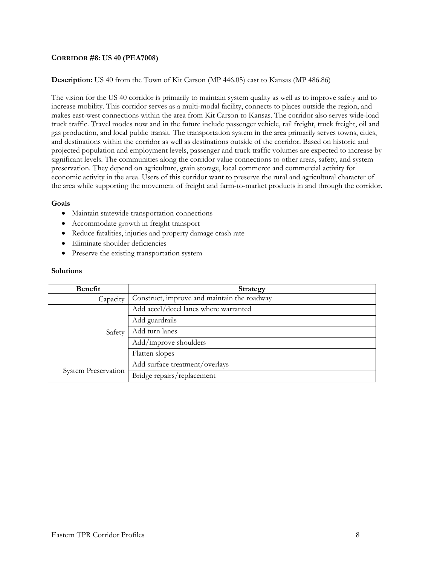## **CORRIDOR #8: US 40 (PEA7008)**

### **Description:** US 40 from the Town of Kit Carson (MP 446.05) east to Kansas (MP 486.86)

The vision for the US 40 corridor is primarily to maintain system quality as well as to improve safety and to increase mobility. This corridor serves as a multi-modal facility, connects to places outside the region, and makes east-west connections within the area from Kit Carson to Kansas. The corridor also serves wide-load truck traffic. Travel modes now and in the future include passenger vehicle, rail freight, truck freight, oil and gas production, and local public transit. The transportation system in the area primarily serves towns, cities, and destinations within the corridor as well as destinations outside of the corridor. Based on historic and projected population and employment levels, passenger and truck traffic volumes are expected to increase by significant levels. The communities along the corridor value connections to other areas, safety, and system preservation. They depend on agriculture, grain storage, local commerce and commercial activity for economic activity in the area. Users of this corridor want to preserve the rural and agricultural character of the area while supporting the movement of freight and farm-to-market products in and through the corridor.

#### **Goals**

- Maintain statewide transportation connections
- Accommodate growth in freight transport
- Reduce fatalities, injuries and property damage crash rate
- Eliminate shoulder deficiencies
- Preserve the existing transportation system

| <b>Benefit</b>             | <b>Strategy</b>                             |
|----------------------------|---------------------------------------------|
| Capacity                   | Construct, improve and maintain the roadway |
| Safety                     | Add accel/decel lanes where warranted       |
|                            | Add guardrails                              |
|                            | Add turn lanes                              |
|                            | Add/improve shoulders                       |
|                            | Flatten slopes                              |
| <b>System Preservation</b> | Add surface treatment/overlays              |
|                            | Bridge repairs/replacement                  |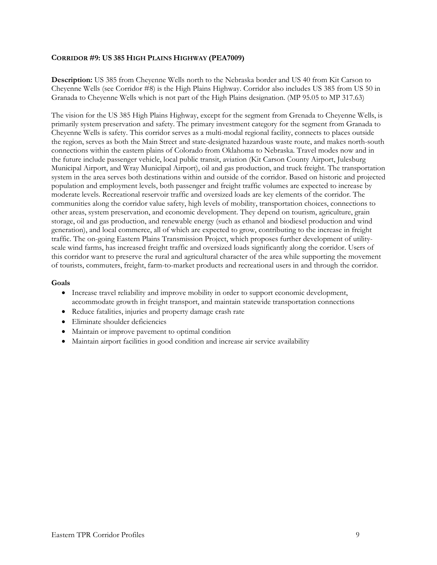### **CORRIDOR #9: US 385 HIGH PLAINS HIGHWAY (PEA7009)**

**Description:** US 385 from Cheyenne Wells north to the Nebraska border and US 40 from Kit Carson to Cheyenne Wells (see Corridor #8) is the High Plains Highway. Corridor also includes US 385 from US 50 in Granada to Cheyenne Wells which is not part of the High Plains designation. (MP 95.05 to MP 317.63)

The vision for the US 385 High Plains Highway, except for the segment from Grenada to Cheyenne Wells, is primarily system preservation and safety. The primary investment category for the segment from Granada to Cheyenne Wells is safety. This corridor serves as a multi-modal regional facility, connects to places outside the region, serves as both the Main Street and state-designated hazardous waste route, and makes north-south connections within the eastern plains of Colorado from Oklahoma to Nebraska. Travel modes now and in the future include passenger vehicle, local public transit, aviation (Kit Carson County Airport, Julesburg Municipal Airport, and Wray Municipal Airport), oil and gas production, and truck freight. The transportation system in the area serves both destinations within and outside of the corridor. Based on historic and projected population and employment levels, both passenger and freight traffic volumes are expected to increase by moderate levels. Recreational reservoir traffic and oversized loads are key elements of the corridor. The communities along the corridor value safety, high levels of mobility, transportation choices, connections to other areas, system preservation, and economic development. They depend on tourism, agriculture, grain storage, oil and gas production, and renewable energy (such as ethanol and biodiesel production and wind generation), and local commerce, all of which are expected to grow, contributing to the increase in freight traffic. The on-going Eastern Plains Transmission Project, which proposes further development of utilityscale wind farms, has increased freight traffic and oversized loads significantly along the corridor. Users of this corridor want to preserve the rural and agricultural character of the area while supporting the movement of tourists, commuters, freight, farm-to-market products and recreational users in and through the corridor.

#### **Goals**

- Increase travel reliability and improve mobility in order to support economic development, accommodate growth in freight transport, and maintain statewide transportation connections
- Reduce fatalities, injuries and property damage crash rate
- Eliminate shoulder deficiencies
- Maintain or improve pavement to optimal condition
- Maintain airport facilities in good condition and increase air service availability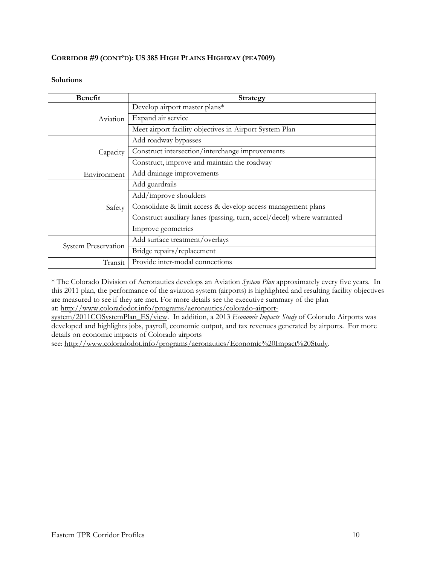## **CORRIDOR #9 (CONT'D): US 385 HIGH PLAINS HIGHWAY (PEA7009)**

### **Solutions**

| <b>Benefit</b>             | <b>Strategy</b>                                                        |
|----------------------------|------------------------------------------------------------------------|
| Aviation                   | Develop airport master plans*                                          |
|                            | Expand air service                                                     |
|                            | Meet airport facility objectives in Airport System Plan                |
|                            | Add roadway bypasses                                                   |
| Capacity                   | Construct intersection/interchange improvements                        |
|                            | Construct, improve and maintain the roadway                            |
| Environment                | Add drainage improvements                                              |
|                            | Add guardrails                                                         |
|                            | Add/improve shoulders                                                  |
| Safety                     | Consolidate & limit access & develop access management plans           |
|                            | Construct auxiliary lanes (passing, turn, accel/decel) where warranted |
|                            | Improve geometrics                                                     |
| <b>System Preservation</b> | Add surface treatment/overlays                                         |
|                            | Bridge repairs/replacement                                             |
| Transit                    | Provide inter-modal connections                                        |

\* The Colorado Division of Aeronautics develops an Aviation *System Plan* approximately every five years. In this 2011 plan, the performance of the aviation system (airports) is highlighted and resulting facility objectives are measured to see if they are met. For more details see the executive summary of the plan at: http://www.coloradodot.info/programs/aeronautics/colorado-airport-

system/2011COSystemPlan\_ES/view. In addition, a 2013 *Economic Impacts Study* of Colorado Airports was developed and highlights jobs, payroll, economic output, and tax revenues generated by airports. For more details on economic impacts of Colorado airports

see: http://www.coloradodot.info/programs/aeronautics/Economic%20Impact%20Study.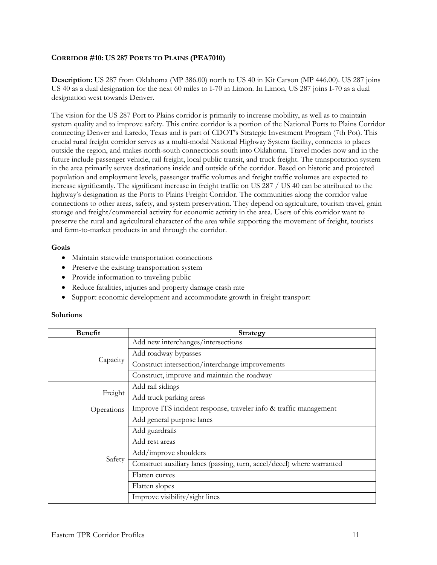### **CORRIDOR #10: US 287 PORTS TO PLAINS (PEA7010)**

**Description:** US 287 from Oklahoma (MP 386.00) north to US 40 in Kit Carson (MP 446.00). US 287 joins US 40 as a dual designation for the next 60 miles to I-70 in Limon. In Limon, US 287 joins I-70 as a dual designation west towards Denver.

The vision for the US 287 Port to Plains corridor is primarily to increase mobility, as well as to maintain system quality and to improve safety. This entire corridor is a portion of the National Ports to Plains Corridor connecting Denver and Laredo, Texas and is part of CDOT's Strategic Investment Program (7th Pot). This crucial rural freight corridor serves as a multi-modal National Highway System facility, connects to places outside the region, and makes north-south connections south into Oklahoma. Travel modes now and in the future include passenger vehicle, rail freight, local public transit, and truck freight. The transportation system in the area primarily serves destinations inside and outside of the corridor. Based on historic and projected population and employment levels, passenger traffic volumes and freight traffic volumes are expected to increase significantly. The significant increase in freight traffic on US 287 / US 40 can be attributed to the highway's designation as the Ports to Plains Freight Corridor. The communities along the corridor value connections to other areas, safety, and system preservation. They depend on agriculture, tourism travel, grain storage and freight/commercial activity for economic activity in the area. Users of this corridor want to preserve the rural and agricultural character of the area while supporting the movement of freight, tourists and farm-to-market products in and through the corridor.

### **Goals**

- Maintain statewide transportation connections
- Preserve the existing transportation system
- Provide information to traveling public
- Reduce fatalities, injuries and property damage crash rate
- Support economic development and accommodate growth in freight transport

| <b>Benefit</b> | <b>Strategy</b>                                                        |
|----------------|------------------------------------------------------------------------|
|                | Add new interchanges/intersections                                     |
|                | Add roadway bypasses                                                   |
| Capacity       | Construct intersection/interchange improvements                        |
|                | Construct, improve and maintain the roadway                            |
|                | Add rail sidings                                                       |
| Freight        | Add truck parking areas                                                |
| Operations     | Improve ITS incident response, traveler info & traffic management      |
|                | Add general purpose lanes                                              |
|                | Add guardrails                                                         |
| Safety         | Add rest areas                                                         |
|                | Add/improve shoulders                                                  |
|                | Construct auxiliary lanes (passing, turn, accel/decel) where warranted |
|                | Flatten curves                                                         |
|                | Flatten slopes                                                         |
|                | Improve visibility/sight lines                                         |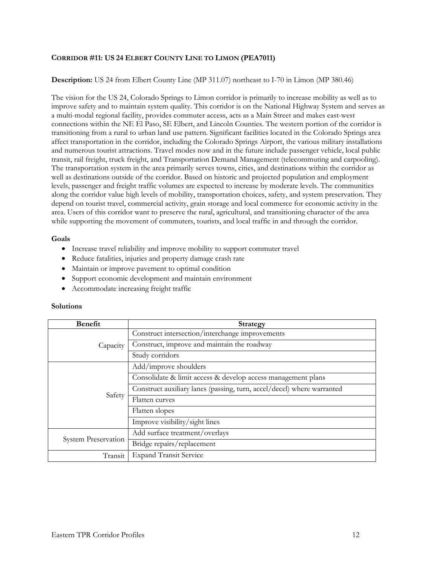## **CORRIDOR #11: US 24 ELBERT COUNTY LINE TO LIMON (PEA7011)**

### **Description:** US 24 from Elbert County Line (MP 311.07) northeast to I-70 in Limon (MP 380.46)

The vision for the US 24, Colorado Springs to Limon corridor is primarily to increase mobility as well as to improve safety and to maintain system quality. This corridor is on the National Highway System and serves as a multi-modal regional facility, provides commuter access, acts as a Main Street and makes east-west connections within the NE El Paso, SE Elbert, and Lincoln Counties. The western portion of the corridor is transitioning from a rural to urban land use pattern. Significant facilities located in the Colorado Springs area affect transportation in the corridor, including the Colorado Springs Airport, the various military installations and numerous tourist attractions. Travel modes now and in the future include passenger vehicle, local public transit, rail freight, truck freight, and Transportation Demand Management (telecommuting and carpooling). The transportation system in the area primarily serves towns, cities, and destinations within the corridor as well as destinations outside of the corridor. Based on historic and projected population and employment levels, passenger and freight traffic volumes are expected to increase by moderate levels. The communities along the corridor value high levels of mobility, transportation choices, safety, and system preservation. They depend on tourist travel, commercial activity, grain storage and local commerce for economic activity in the area. Users of this corridor want to preserve the rural, agricultural, and transitioning character of the area while supporting the movement of commuters, tourists, and local traffic in and through the corridor.

#### **Goals**

- Increase travel reliability and improve mobility to support commuter travel
- Reduce fatalities, injuries and property damage crash rate
- Maintain or improve pavement to optimal condition
- Support economic development and maintain environment
- Accommodate increasing freight traffic

| <b>Benefit</b>             | <b>Strategy</b>                                                        |
|----------------------------|------------------------------------------------------------------------|
| Capacity                   | Construct intersection/interchange improvements                        |
|                            | Construct, improve and maintain the roadway                            |
|                            | Study corridors                                                        |
| Safety                     | Add/improve shoulders                                                  |
|                            | Consolidate & limit access & develop access management plans           |
|                            | Construct auxiliary lanes (passing, turn, accel/decel) where warranted |
|                            | Flatten curves                                                         |
|                            | Flatten slopes                                                         |
|                            | Improve visibility/sight lines                                         |
| <b>System Preservation</b> | Add surface treatment/overlays                                         |
|                            | Bridge repairs/replacement                                             |
| Transit                    | <b>Expand Transit Service</b>                                          |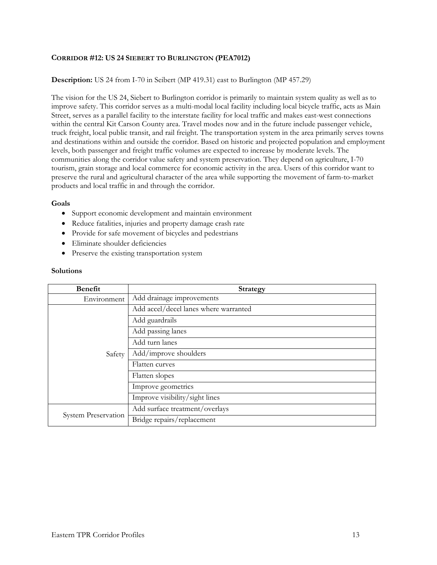### **CORRIDOR #12: US 24 SIEBERT TO BURLINGTON (PEA7012)**

### **Description:** US 24 from I-70 in Seibert (MP 419.31) east to Burlington (MP 457.29)

The vision for the US 24, Siebert to Burlington corridor is primarily to maintain system quality as well as to improve safety. This corridor serves as a multi-modal local facility including local bicycle traffic, acts as Main Street, serves as a parallel facility to the interstate facility for local traffic and makes east-west connections within the central Kit Carson County area. Travel modes now and in the future include passenger vehicle, truck freight, local public transit, and rail freight. The transportation system in the area primarily serves towns and destinations within and outside the corridor. Based on historic and projected population and employment levels, both passenger and freight traffic volumes are expected to increase by moderate levels. The communities along the corridor value safety and system preservation. They depend on agriculture, I-70 tourism, grain storage and local commerce for economic activity in the area. Users of this corridor want to preserve the rural and agricultural character of the area while supporting the movement of farm-to-market products and local traffic in and through the corridor.

#### **Goals**

- Support economic development and maintain environment
- Reduce fatalities, injuries and property damage crash rate
- Provide for safe movement of bicycles and pedestrians
- Eliminate shoulder deficiencies
- Preserve the existing transportation system

| <b>Benefit</b>             | <b>Strategy</b>                       |
|----------------------------|---------------------------------------|
| Environment                | Add drainage improvements             |
|                            | Add accel/decel lanes where warranted |
|                            | Add guardrails                        |
|                            | Add passing lanes                     |
| Safety                     | Add turn lanes                        |
|                            | Add/improve shoulders                 |
|                            | Flatten curves                        |
|                            | Flatten slopes                        |
|                            | Improve geometrics                    |
|                            | Improve visibility/sight lines        |
| <b>System Preservation</b> | Add surface treatment/overlays        |
|                            | Bridge repairs/replacement            |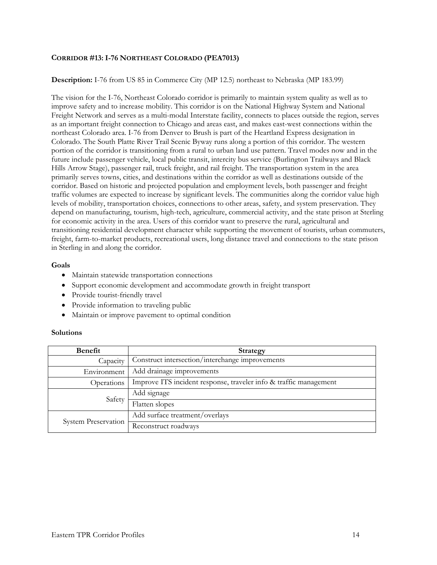### **CORRIDOR #13: I-76 NORTHEAST COLORADO (PEA7013)**

### **Description:** I-76 from US 85 in Commerce City (MP 12.5) northeast to Nebraska (MP 183.99)

The vision for the I-76, Northeast Colorado corridor is primarily to maintain system quality as well as to improve safety and to increase mobility. This corridor is on the National Highway System and National Freight Network and serves as a multi-modal Interstate facility, connects to places outside the region, serves as an important freight connection to Chicago and areas east, and makes east-west connections within the northeast Colorado area. I-76 from Denver to Brush is part of the Heartland Express designation in Colorado. The South Platte River Trail Scenic Byway runs along a portion of this corridor. The western portion of the corridor is transitioning from a rural to urban land use pattern. Travel modes now and in the future include passenger vehicle, local public transit, intercity bus service (Burlington Trailways and Black Hills Arrow Stage), passenger rail, truck freight, and rail freight. The transportation system in the area primarily serves towns, cities, and destinations within the corridor as well as destinations outside of the corridor. Based on historic and projected population and employment levels, both passenger and freight traffic volumes are expected to increase by significant levels. The communities along the corridor value high levels of mobility, transportation choices, connections to other areas, safety, and system preservation. They depend on manufacturing, tourism, high-tech, agriculture, commercial activity, and the state prison at Sterling for economic activity in the area. Users of this corridor want to preserve the rural, agricultural and transitioning residential development character while supporting the movement of tourists, urban commuters, freight, farm-to-market products, recreational users, long distance travel and connections to the state prison in Sterling in and along the corridor.

#### **Goals**

- Maintain statewide transportation connections
- Support economic development and accommodate growth in freight transport
- Provide tourist-friendly travel
- Provide information to traveling public
- Maintain or improve pavement to optimal condition

| Benefit                    | <b>Strategy</b>                                                   |
|----------------------------|-------------------------------------------------------------------|
| Capacity                   | Construct intersection/interchange improvements                   |
| Environment                | Add drainage improvements                                         |
| Operations                 | Improve ITS incident response, traveler info & traffic management |
| Safety                     | Add signage                                                       |
|                            | Flatten slopes                                                    |
| <b>System Preservation</b> | Add surface treatment/overlays                                    |
|                            | Reconstruct roadways                                              |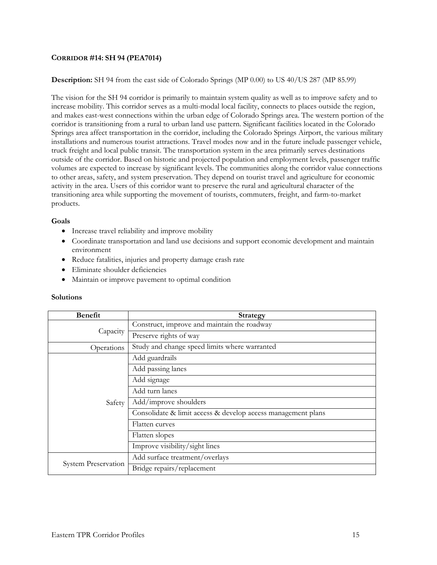### **CORRIDOR #14: SH 94 (PEA7014)**

### **Description:** SH 94 from the east side of Colorado Springs (MP 0.00) to US 40/US 287 (MP 85.99)

The vision for the SH 94 corridor is primarily to maintain system quality as well as to improve safety and to increase mobility. This corridor serves as a multi-modal local facility, connects to places outside the region, and makes east-west connections within the urban edge of Colorado Springs area. The western portion of the corridor is transitioning from a rural to urban land use pattern. Significant facilities located in the Colorado Springs area affect transportation in the corridor, including the Colorado Springs Airport, the various military installations and numerous tourist attractions. Travel modes now and in the future include passenger vehicle, truck freight and local public transit. The transportation system in the area primarily serves destinations outside of the corridor. Based on historic and projected population and employment levels, passenger traffic volumes are expected to increase by significant levels. The communities along the corridor value connections to other areas, safety, and system preservation. They depend on tourist travel and agriculture for economic activity in the area. Users of this corridor want to preserve the rural and agricultural character of the transitioning area while supporting the movement of tourists, commuters, freight, and farm-to-market products.

#### **Goals**

- Increase travel reliability and improve mobility
- Coordinate transportation and land use decisions and support economic development and maintain environment
- Reduce fatalities, injuries and property damage crash rate
- Eliminate shoulder deficiencies
- Maintain or improve pavement to optimal condition

| <b>Benefit</b>             | <b>Strategy</b>                                              |
|----------------------------|--------------------------------------------------------------|
| Capacity                   | Construct, improve and maintain the roadway                  |
|                            | Preserve rights of way                                       |
| Operations                 | Study and change speed limits where warranted                |
|                            | Add guardrails                                               |
|                            | Add passing lanes                                            |
|                            | Add signage                                                  |
|                            | Add turn lanes                                               |
| Safety                     | Add/improve shoulders                                        |
|                            | Consolidate & limit access & develop access management plans |
|                            | Flatten curves                                               |
|                            | Flatten slopes                                               |
|                            | Improve visibility/sight lines                               |
| <b>System Preservation</b> | Add surface treatment/overlays                               |
|                            | Bridge repairs/replacement                                   |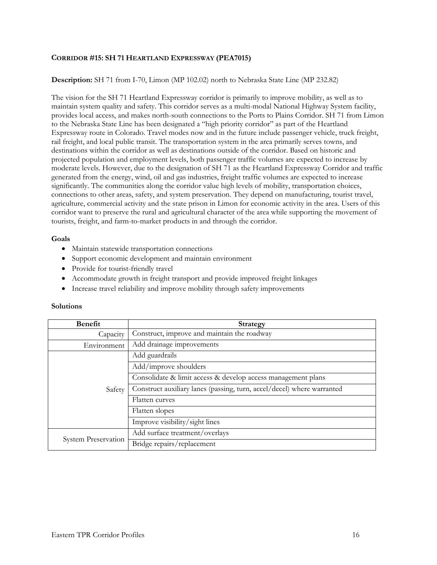### **CORRIDOR #15: SH 71 HEARTLAND EXPRESSWAY (PEA7015)**

### **Description:** SH 71 from I-70, Limon (MP 102.02) north to Nebraska State Line (MP 232.82)

The vision for the SH 71 Heartland Expressway corridor is primarily to improve mobility, as well as to maintain system quality and safety. This corridor serves as a multi-modal National Highway System facility, provides local access, and makes north-south connections to the Ports to Plains Corridor. SH 71 from Limon to the Nebraska State Line has been designated a "high priority corridor" as part of the Heartland Expressway route in Colorado. Travel modes now and in the future include passenger vehicle, truck freight, rail freight, and local public transit. The transportation system in the area primarily serves towns, and destinations within the corridor as well as destinations outside of the corridor. Based on historic and projected population and employment levels, both passenger traffic volumes are expected to increase by moderate levels. However, due to the designation of SH 71 as the Heartland Expressway Corridor and traffic generated from the energy, wind, oil and gas industries, freight traffic volumes are expected to increase significantly. The communities along the corridor value high levels of mobility, transportation choices, connections to other areas, safety, and system preservation. They depend on manufacturing, tourist travel, agriculture, commercial activity and the state prison in Limon for economic activity in the area. Users of this corridor want to preserve the rural and agricultural character of the area while supporting the movement of tourists, freight, and farm-to-market products in and through the corridor.

#### **Goals**

- Maintain statewide transportation connections
- Support economic development and maintain environment
- Provide for tourist-friendly travel
- Accommodate growth in freight transport and provide improved freight linkages
- Increase travel reliability and improve mobility through safety improvements

| <b>Benefit</b>             | <b>Strategy</b>                                                        |
|----------------------------|------------------------------------------------------------------------|
| Capacity                   | Construct, improve and maintain the roadway                            |
| Environment                | Add drainage improvements                                              |
| Safety                     | Add guardrails                                                         |
|                            | Add/improve shoulders                                                  |
|                            | Consolidate & limit access & develop access management plans           |
|                            | Construct auxiliary lanes (passing, turn, accel/decel) where warranted |
|                            | Flatten curves                                                         |
|                            | Flatten slopes                                                         |
|                            | Improve visibility/sight lines                                         |
| <b>System Preservation</b> | Add surface treatment/overlays                                         |
|                            | Bridge repairs/replacement                                             |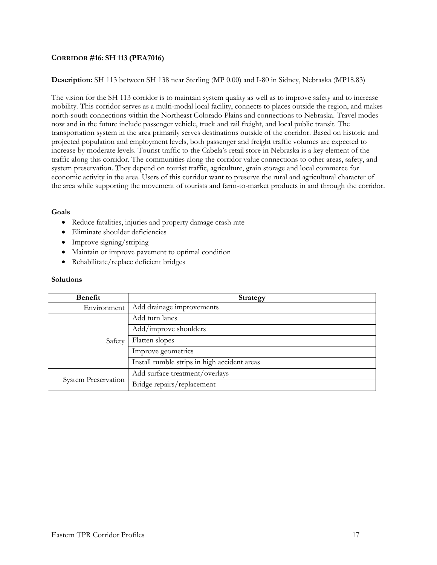## **CORRIDOR #16: SH 113 (PEA7016)**

### **Description:** SH 113 between SH 138 near Sterling (MP 0.00) and I-80 in Sidney, Nebraska (MP18.83)

The vision for the SH 113 corridor is to maintain system quality as well as to improve safety and to increase mobility. This corridor serves as a multi-modal local facility, connects to places outside the region, and makes north-south connections within the Northeast Colorado Plains and connections to Nebraska. Travel modes now and in the future include passenger vehicle, truck and rail freight, and local public transit. The transportation system in the area primarily serves destinations outside of the corridor. Based on historic and projected population and employment levels, both passenger and freight traffic volumes are expected to increase by moderate levels. Tourist traffic to the Cabela's retail store in Nebraska is a key element of the traffic along this corridor. The communities along the corridor value connections to other areas, safety, and system preservation. They depend on tourist traffic, agriculture, grain storage and local commerce for economic activity in the area. Users of this corridor want to preserve the rural and agricultural character of the area while supporting the movement of tourists and farm-to-market products in and through the corridor.

### **Goals**

- Reduce fatalities, injuries and property damage crash rate
- Eliminate shoulder deficiencies
- Improve signing/striping
- Maintain or improve pavement to optimal condition
- Rehabilitate/replace deficient bridges

| <b>Benefit</b>             | <b>Strategy</b>                              |
|----------------------------|----------------------------------------------|
| Environment                | Add drainage improvements                    |
| Safety                     | Add turn lanes                               |
|                            | Add/improve shoulders                        |
|                            | Flatten slopes                               |
|                            | Improve geometrics                           |
|                            | Install rumble strips in high accident areas |
| <b>System Preservation</b> | Add surface treatment/overlays               |
|                            | Bridge repairs/replacement                   |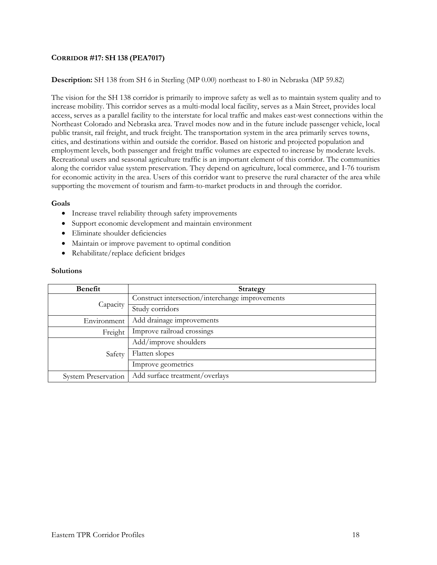## **CORRIDOR #17: SH 138 (PEA7017)**

### **Description:** SH 138 from SH 6 in Sterling (MP 0.00) northeast to I-80 in Nebraska (MP 59.82)

The vision for the SH 138 corridor is primarily to improve safety as well as to maintain system quality and to increase mobility. This corridor serves as a multi-modal local facility, serves as a Main Street, provides local access, serves as a parallel facility to the interstate for local traffic and makes east-west connections within the Northeast Colorado and Nebraska area. Travel modes now and in the future include passenger vehicle, local public transit, rail freight, and truck freight. The transportation system in the area primarily serves towns, cities, and destinations within and outside the corridor. Based on historic and projected population and employment levels, both passenger and freight traffic volumes are expected to increase by moderate levels. Recreational users and seasonal agriculture traffic is an important element of this corridor. The communities along the corridor value system preservation. They depend on agriculture, local commerce, and I-76 tourism for economic activity in the area. Users of this corridor want to preserve the rural character of the area while supporting the movement of tourism and farm-to-market products in and through the corridor.

#### **Goals**

- Increase travel reliability through safety improvements
- Support economic development and maintain environment
- Eliminate shoulder deficiencies
- Maintain or improve pavement to optimal condition
- Rehabilitate/replace deficient bridges

| Benefit                    | Strategy                                        |
|----------------------------|-------------------------------------------------|
| Capacity                   | Construct intersection/interchange improvements |
|                            | Study corridors                                 |
| Environment                | Add drainage improvements                       |
| Freight                    | Improve railroad crossings                      |
| Safety                     | Add/improve shoulders                           |
|                            | Flatten slopes                                  |
|                            | Improve geometrics                              |
| <b>System Preservation</b> | Add surface treatment/overlays                  |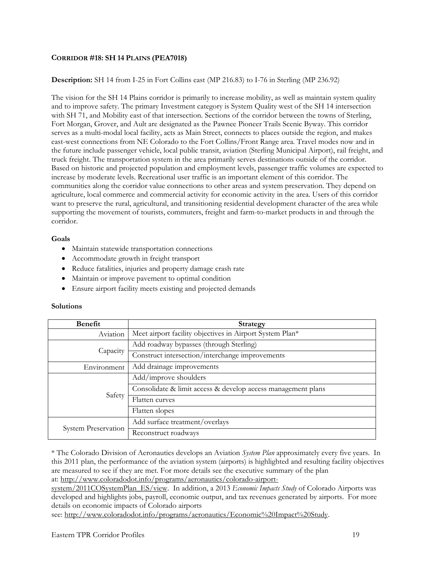## **CORRIDOR #18: SH 14 PLAINS (PEA7018)**

## **Description:** SH 14 from I-25 in Fort Collins east (MP 216.83) to I-76 in Sterling (MP 236.92)

The vision for the SH 14 Plains corridor is primarily to increase mobility, as well as maintain system quality and to improve safety. The primary Investment category is System Quality west of the SH 14 intersection with SH 71, and Mobility east of that intersection. Sections of the corridor between the towns of Sterling, Fort Morgan, Grover, and Ault are designated as the Pawnee Pioneer Trails Scenic Byway. This corridor serves as a multi-modal local facility, acts as Main Street, connects to places outside the region, and makes east-west connections from NE Colorado to the Fort Collins/Front Range area. Travel modes now and in the future include passenger vehicle, local public transit, aviation (Sterling Municipal Airport), rail freight, and truck freight. The transportation system in the area primarily serves destinations outside of the corridor. Based on historic and projected population and employment levels, passenger traffic volumes are expected to increase by moderate levels. Recreational user traffic is an important element of this corridor. The communities along the corridor value connections to other areas and system preservation. They depend on agriculture, local commerce and commercial activity for economic activity in the area. Users of this corridor want to preserve the rural, agricultural, and transitioning residential development character of the area while supporting the movement of tourists, commuters, freight and farm-to-market products in and through the corridor.

### **Goals**

- Maintain statewide transportation connections
- Accommodate growth in freight transport
- Reduce fatalities, injuries and property damage crash rate
- Maintain or improve pavement to optimal condition
- Ensure airport facility meets existing and projected demands

# **Solutions**

| Benefit                    | <b>Strategy</b>                                              |
|----------------------------|--------------------------------------------------------------|
| Aviation                   | Meet airport facility objectives in Airport System Plan*     |
| Capacity                   | Add roadway bypasses (through Sterling)                      |
|                            | Construct intersection/interchange improvements              |
| Environment                | Add drainage improvements                                    |
| Safety                     | Add/improve shoulders                                        |
|                            | Consolidate & limit access & develop access management plans |
|                            | Flatten curves                                               |
|                            | Flatten slopes                                               |
| <b>System Preservation</b> | Add surface treatment/overlays                               |
|                            | Reconstruct roadways                                         |

\* The Colorado Division of Aeronautics develops an Aviation *System Plan* approximately every five years. In this 2011 plan, the performance of the aviation system (airports) is highlighted and resulting facility objectives are measured to see if they are met. For more details see the executive summary of the plan at: http://www.coloradodot.info/programs/aeronautics/colorado-airport-

system/2011COSystemPlan\_ES/view. In addition, a 2013 *Economic Impacts Study* of Colorado Airports was developed and highlights jobs, payroll, economic output, and tax revenues generated by airports. For more details on economic impacts of Colorado airports

see: http://www.coloradodot.info/programs/aeronautics/Economic%20Impact%20Study.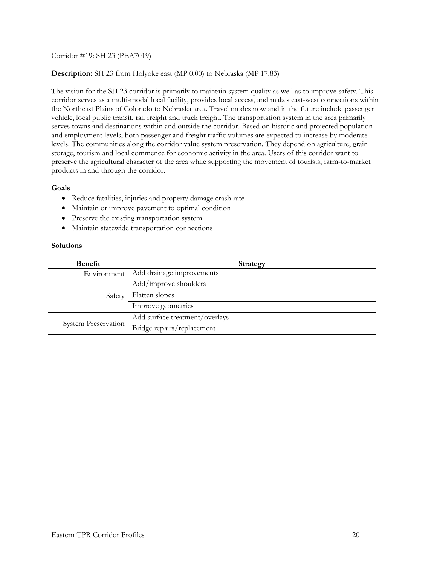### Corridor #19: SH 23 (PEA7019)

### **Description:** SH 23 from Holyoke east (MP 0.00) to Nebraska (MP 17.83)

The vision for the SH 23 corridor is primarily to maintain system quality as well as to improve safety. This corridor serves as a multi-modal local facility, provides local access, and makes east-west connections within the Northeast Plains of Colorado to Nebraska area. Travel modes now and in the future include passenger vehicle, local public transit, rail freight and truck freight. The transportation system in the area primarily serves towns and destinations within and outside the corridor. Based on historic and projected population and employment levels, both passenger and freight traffic volumes are expected to increase by moderate levels. The communities along the corridor value system preservation. They depend on agriculture, grain storage, tourism and local commence for economic activity in the area. Users of this corridor want to preserve the agricultural character of the area while supporting the movement of tourists, farm-to-market products in and through the corridor.

#### **Goals**

- Reduce fatalities, injuries and property damage crash rate
- Maintain or improve pavement to optimal condition
- Preserve the existing transportation system
- Maintain statewide transportation connections

| Benefit             | <b>Strategy</b>                |
|---------------------|--------------------------------|
| Environment         | Add drainage improvements      |
| Safety              | Add/improve shoulders          |
|                     | Flatten slopes                 |
|                     | Improve geometrics             |
| System Preservation | Add surface treatment/overlays |
|                     | Bridge repairs/replacement     |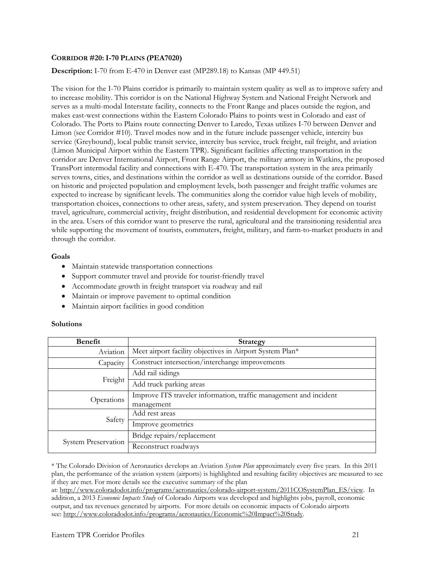### **CORRIDOR #20: I-70 PLAINS (PEA7020)**

### **Description:** I-70 from E-470 in Denver east (MP289.18) to Kansas (MP 449.51)

The vision for the I-70 Plains corridor is primarily to maintain system quality as well as to improve safety and to increase mobility. This corridor is on the National Highway System and National Freight Network and serves as a multi-modal Interstate facility, connects to the Front Range and places outside the region, and makes east-west connections within the Eastern Colorado Plains to points west in Colorado and east of Colorado. The Ports to Plains route connecting Denver to Laredo, Texas utilizes I-70 between Denver and Limon (see Corridor #10). Travel modes now and in the future include passenger vehicle, intercity bus service (Greyhound), local public transit service, intercity bus service, truck freight, rail freight, and aviation (Limon Municipal Airport within the Eastern TPR). Significant facilities affecting transportation in the corridor are Denver International Airport, Front Range Airport, the military armory in Watkins, the proposed TransPort intermodal facility and connections with E-470. The transportation system in the area primarily serves towns, cities, and destinations within the corridor as well as destinations outside of the corridor. Based on historic and projected population and employment levels, both passenger and freight traffic volumes are expected to increase by significant levels. The communities along the corridor value high levels of mobility, transportation choices, connections to other areas, safety, and system preservation. They depend on tourist travel, agriculture, commercial activity, freight distribution, and residential development for economic activity in the area. Users of this corridor want to preserve the rural, agricultural and the transitioning residential area while supporting the movement of tourists, commuters, freight, military, and farm-to-market products in and through the corridor.

#### **Goals**

- Maintain statewide transportation connections
- Support commuter travel and provide for tourist-friendly travel
- Accommodate growth in freight transport via roadway and rail
- Maintain or improve pavement to optimal condition
- Maintain airport facilities in good condition

#### **Solutions**

| <b>Benefit</b>             | <b>Strategy</b>                                                   |
|----------------------------|-------------------------------------------------------------------|
| Aviation                   | Meet airport facility objectives in Airport System Plan*          |
| Capacity                   | Construct intersection/interchange improvements                   |
| Freight                    | Add rail sidings                                                  |
|                            | Add truck parking areas                                           |
| Operations                 | Improve ITS traveler information, traffic management and incident |
|                            | management                                                        |
| Safety                     | Add rest areas                                                    |
|                            | Improve geometrics                                                |
| <b>System Preservation</b> | Bridge repairs/replacement                                        |
|                            | Reconstruct roadways                                              |

\* The Colorado Division of Aeronautics develops an Aviation *System Plan* approximately every five years. In this 2011 plan, the performance of the aviation system (airports) is highlighted and resulting facility objectives are measured to see if they are met. For more details see the executive summary of the plan

at: http://www.coloradodot.info/programs/aeronautics/colorado-airport-system/2011COSystemPlan\_ES/view. In addition, a 2013 *Economic Impacts Study* of Colorado Airports was developed and highlights jobs, payroll, economic output, and tax revenues generated by airports. For more details on economic impacts of Colorado airports see: http://www.coloradodot.info/programs/aeronautics/Economic%20Impact%20Study.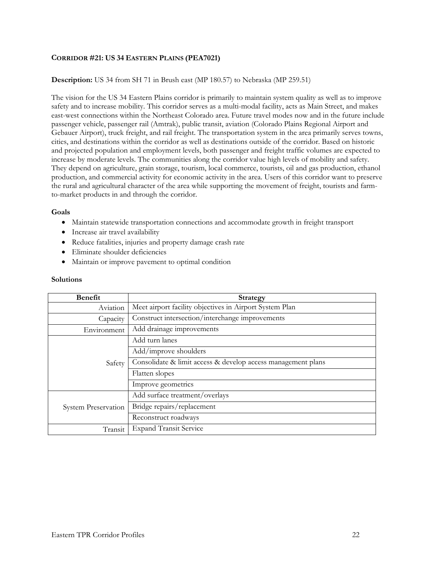## **CORRIDOR #21: US 34 EASTERN PLAINS (PEA7021)**

### **Description:** US 34 from SH 71 in Brush east (MP 180.57) to Nebraska (MP 259.51)

The vision for the US 34 Eastern Plains corridor is primarily to maintain system quality as well as to improve safety and to increase mobility. This corridor serves as a multi-modal facility, acts as Main Street, and makes east-west connections within the Northeast Colorado area. Future travel modes now and in the future include passenger vehicle, passenger rail (Amtrak), public transit, aviation (Colorado Plains Regional Airport and Gebauer Airport), truck freight, and rail freight. The transportation system in the area primarily serves towns, cities, and destinations within the corridor as well as destinations outside of the corridor. Based on historic and projected population and employment levels, both passenger and freight traffic volumes are expected to increase by moderate levels. The communities along the corridor value high levels of mobility and safety. They depend on agriculture, grain storage, tourism, local commerce, tourists, oil and gas production, ethanol production, and commercial activity for economic activity in the area. Users of this corridor want to preserve the rural and agricultural character of the area while supporting the movement of freight, tourists and farmto-market products in and through the corridor.

#### **Goals**

- Maintain statewide transportation connections and accommodate growth in freight transport
- Increase air travel availability
- Reduce fatalities, injuries and property damage crash rate
- Eliminate shoulder deficiencies
- Maintain or improve pavement to optimal condition

| <b>Benefit</b>      | <b>Strategy</b>                                              |
|---------------------|--------------------------------------------------------------|
| Aviation            | Meet airport facility objectives in Airport System Plan      |
| Capacity            | Construct intersection/interchange improvements              |
| Environment         | Add drainage improvements                                    |
| Safety              | Add turn lanes                                               |
|                     | Add/improve shoulders                                        |
|                     | Consolidate & limit access & develop access management plans |
|                     | Flatten slopes                                               |
|                     | Improve geometrics                                           |
| System Preservation | Add surface treatment/overlays                               |
|                     | Bridge repairs/replacement                                   |
|                     | Reconstruct roadways                                         |
| Transit             | <b>Expand Transit Service</b>                                |